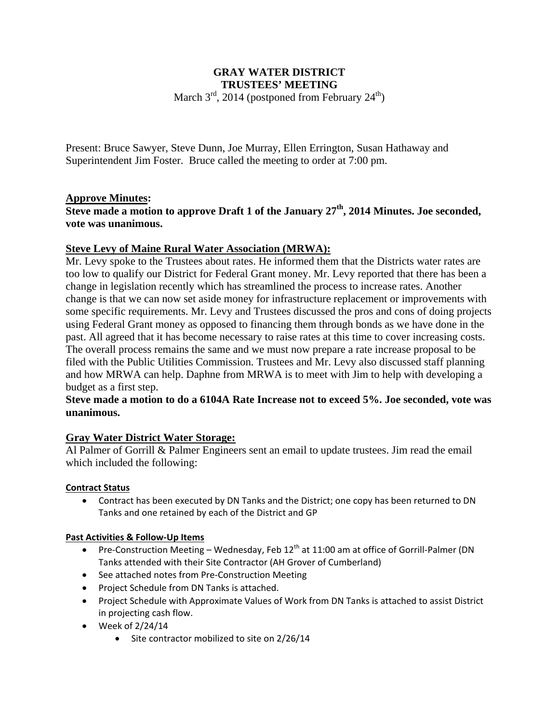# **GRAY WATER DISTRICT TRUSTEES' MEETING**

March  $3^{\text{rd}}$ , 2014 (postponed from February  $24^{\text{th}}$ )

Present: Bruce Sawyer, Steve Dunn, Joe Murray, Ellen Errington, Susan Hathaway and Superintendent Jim Foster. Bruce called the meeting to order at 7:00 pm.

# **Approve Minutes:**

**Steve made a motion to approve Draft 1 of the January 27th, 2014 Minutes. Joe seconded, vote was unanimous.** 

### **Steve Levy of Maine Rural Water Association (MRWA):**

Mr. Levy spoke to the Trustees about rates. He informed them that the Districts water rates are too low to qualify our District for Federal Grant money. Mr. Levy reported that there has been a change in legislation recently which has streamlined the process to increase rates. Another change is that we can now set aside money for infrastructure replacement or improvements with some specific requirements. Mr. Levy and Trustees discussed the pros and cons of doing projects using Federal Grant money as opposed to financing them through bonds as we have done in the past. All agreed that it has become necessary to raise rates at this time to cover increasing costs. The overall process remains the same and we must now prepare a rate increase proposal to be filed with the Public Utilities Commission. Trustees and Mr. Levy also discussed staff planning and how MRWA can help. Daphne from MRWA is to meet with Jim to help with developing a budget as a first step.

### **Steve made a motion to do a 6104A Rate Increase not to exceed 5%. Joe seconded, vote was unanimous.**

# **Gray Water District Water Storage:**

Al Palmer of Gorrill & Palmer Engineers sent an email to update trustees. Jim read the email which included the following:

#### **Contract Status**

 Contract has been executed by DN Tanks and the District; one copy has been returned to DN Tanks and one retained by each of the District and GP

#### **Past Activities & Follow‐Up Items**

- Pre-Construction Meeting Wednesday, Feb  $12<sup>th</sup>$  at 11:00 am at office of Gorrill-Palmer (DN Tanks attended with their Site Contractor (AH Grover of Cumberland)
- See attached notes from Pre-Construction Meeting
- Project Schedule from DN Tanks is attached.
- Project Schedule with Approximate Values of Work from DN Tanks is attached to assist District in projecting cash flow.
- $\bullet$  Week of 2/24/14
	- Site contractor mobilized to site on 2/26/14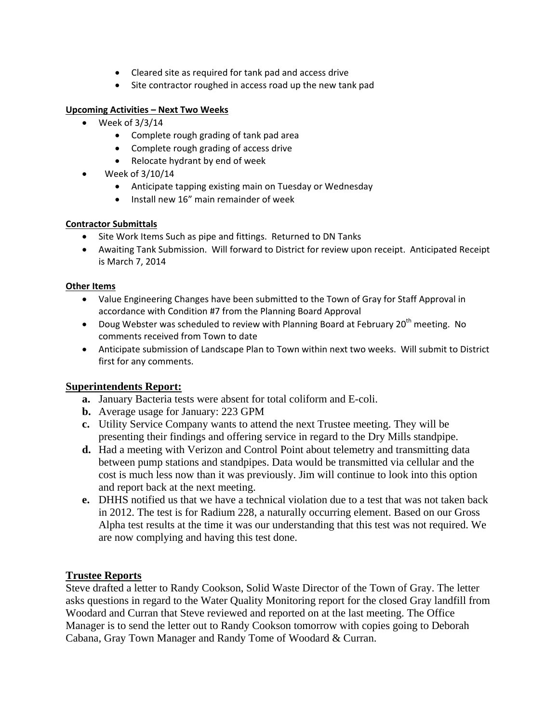- Cleared site as required for tank pad and access drive
- Site contractor roughed in access road up the new tank pad

#### **Upcoming Activities – Next Two Weeks**

- $\bullet$  Week of 3/3/14
	- Complete rough grading of tank pad area
	- Complete rough grading of access drive
	- Relocate hydrant by end of week
- $\bullet$  Week of 3/10/14
	- Anticipate tapping existing main on Tuesday or Wednesday
	- Install new 16" main remainder of week

#### **Contractor Submittals**

- Site Work Items Such as pipe and fittings. Returned to DN Tanks
- Awaiting Tank Submission. Will forward to District for review upon receipt. Anticipated Receipt is March 7, 2014

#### **Other Items**

- Value Engineering Changes have been submitted to the Town of Gray for Staff Approval in accordance with Condition #7 from the Planning Board Approval
- Doug Webster was scheduled to review with Planning Board at February 20<sup>th</sup> meeting. No comments received from Town to date
- Anticipate submission of Landscape Plan to Town within next two weeks. Will submit to District first for any comments.

# **Superintendents Report:**

- **a.** January Bacteria tests were absent for total coliform and E-coli.
- **b.** Average usage for January: 223 GPM
- **c.** Utility Service Company wants to attend the next Trustee meeting. They will be presenting their findings and offering service in regard to the Dry Mills standpipe.
- **d.** Had a meeting with Verizon and Control Point about telemetry and transmitting data between pump stations and standpipes. Data would be transmitted via cellular and the cost is much less now than it was previously. Jim will continue to look into this option and report back at the next meeting.
- **e.** DHHS notified us that we have a technical violation due to a test that was not taken back in 2012. The test is for Radium 228, a naturally occurring element. Based on our Gross Alpha test results at the time it was our understanding that this test was not required. We are now complying and having this test done.

# **Trustee Reports**

Steve drafted a letter to Randy Cookson, Solid Waste Director of the Town of Gray. The letter asks questions in regard to the Water Quality Monitoring report for the closed Gray landfill from Woodard and Curran that Steve reviewed and reported on at the last meeting. The Office Manager is to send the letter out to Randy Cookson tomorrow with copies going to Deborah Cabana, Gray Town Manager and Randy Tome of Woodard & Curran.